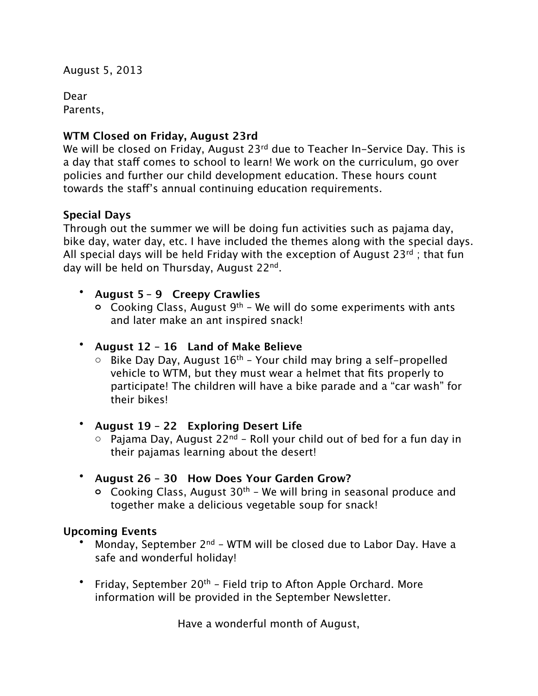August 5, 2013

Dear Parents, 

# **WTM Closed on Friday, August 23rd**

We will be closed on Friday, August 23<sup>rd</sup> due to Teacher In-Service Day. This is a day that staff comes to school to learn! We work on the curriculum, go over policies and further our child development education. These hours count towards the staf's annual continuing education requirements.

## **Special Days**

Through out the summer we will be doing fun activities such as pajama day, bike day, water day, etc. I have included the themes along with the special days. All special days will be held Friday with the exception of August 23 $rd$ ; that fun day will be held on Thursday, August 22nd.

## • **August 5 – 9 Creepy Crawlies**

**o** Cooking Class, August 9th – We will do some experiments with ants and later make an ant inspired snack!

## • **August 12 – 16 Land of Make Believe**

 $\circ$  Bike Day Day, August 16<sup>th</sup> – Your child may bring a self-propelled vehicle to WTM, but they must wear a helmet that fits properly to participate! The children will have a bike parade and a "car wash" for their bikes!

## • **August 19 – 22 Exploring Desert Life**

 $\circ$  Pajama Day, August 22<sup>nd</sup> – Roll your child out of bed for a fun day in their pajamas learning about the desert!

## • **August 26 – 30 How Does Your Garden Grow?**

**o** Cooking Class, August 30th – We will bring in seasonal produce and together make a delicious vegetable soup for snack!

## **Upcoming Events**

- Monday, September  $2^{nd}$  WTM will be closed due to Labor Day. Have a safe and wonderful holiday!
- Friday, September 20<sup>th</sup> Field trip to Afton Apple Orchard. More information will be provided in the September Newsletter.

Have a wonderful month of August,